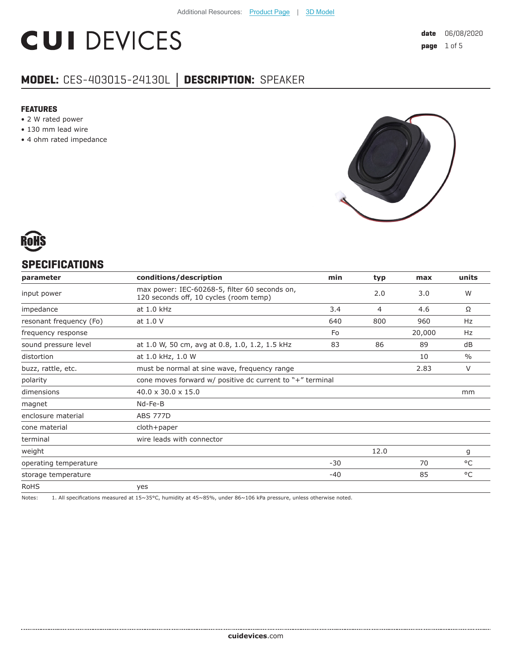# **CUI DEVICES**

## **MODEL:** CES-403015-24130L **│ DESCRIPTION:** SPEAKER

#### **FEATURES**

- 2 W rated power
- 130 mm lead wire
- 4 ohm rated impedance





#### **SPECIFICATIONS**

| parameter               | conditions/description                                                                  | min   | typ  | max    | units         |
|-------------------------|-----------------------------------------------------------------------------------------|-------|------|--------|---------------|
| input power             | max power: IEC-60268-5, filter 60 seconds on,<br>120 seconds off, 10 cycles (room temp) |       | 2.0  | 3.0    | W             |
| impedance               | at 1.0 kHz                                                                              | 3.4   | 4    | 4.6    | Ω             |
| resonant frequency (Fo) | at 1.0 V                                                                                | 640   | 800  | 960    | Hz            |
| frequency response      |                                                                                         | Fo    |      | 20,000 | Hz            |
| sound pressure level    | at 1.0 W, 50 cm, avg at 0.8, 1.0, 1.2, 1.5 kHz                                          | 83    | 86   | 89     | dB            |
| distortion              | at 1.0 kHz, 1.0 W                                                                       |       |      | 10     | $\frac{0}{0}$ |
| buzz, rattle, etc.      | must be normal at sine wave, frequency range                                            |       |      | 2.83   | $\vee$        |
| polarity                | cone moves forward $w/$ positive dc current to "+" terminal                             |       |      |        |               |
| dimensions              | $40.0 \times 30.0 \times 15.0$                                                          |       |      |        | mm            |
| magnet                  | Nd-Fe-B                                                                                 |       |      |        |               |
| enclosure material      | <b>ABS 777D</b>                                                                         |       |      |        |               |
| cone material           | cloth+paper                                                                             |       |      |        |               |
| terminal                | wire leads with connector                                                               |       |      |        |               |
| weight                  |                                                                                         |       | 12.0 |        | g             |
| operating temperature   |                                                                                         | $-30$ |      | 70     | °C            |
| storage temperature     |                                                                                         | -40   |      | 85     | °C            |
| <b>RoHS</b>             | yes                                                                                     |       |      |        |               |

Notes: 1. All specifications measured at 15~35°C, humidity at 45~85%, under 86~106 kPa pressure, unless otherwise noted.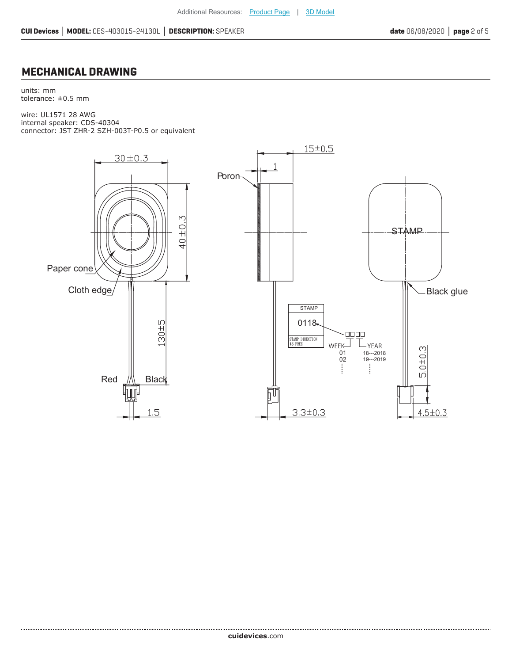#### **MECHANICAL DRAWING**

units: mm tolerance: ±0.5 mm

wire: UL1571 28 AWG internal speaker: CDS-40304 connector: JST ZHR-2 SZH-003T-P0.5 or equivalent

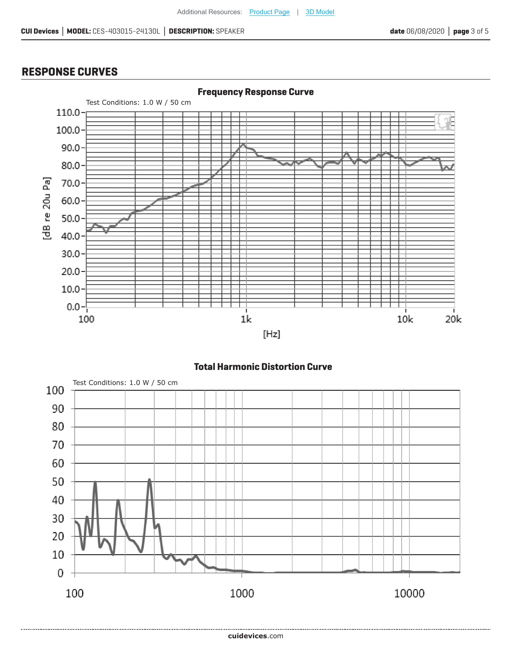### **RESPONSE CURVES**



**Total Harmonic Distortion Curve**

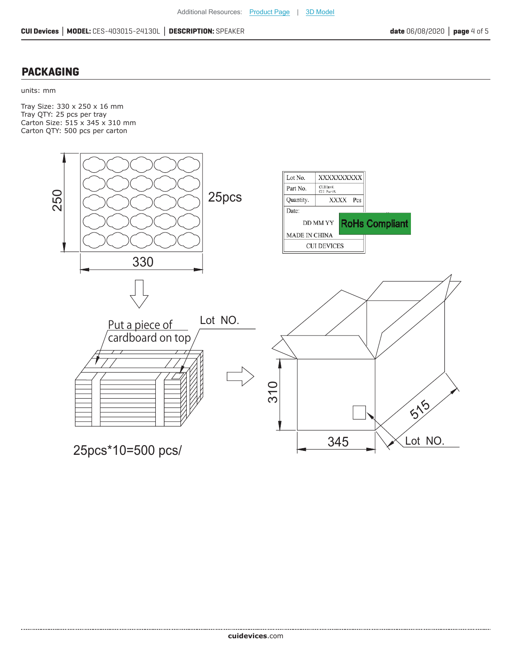#### **PACKAGING**

#### units: mm

Tray Size: 330 x 250 x 16 mm Tray QTY: 25 pcs per tray Carton Size: 515 x 345 x 310 mm Carton QTY: 500 pcs per carton